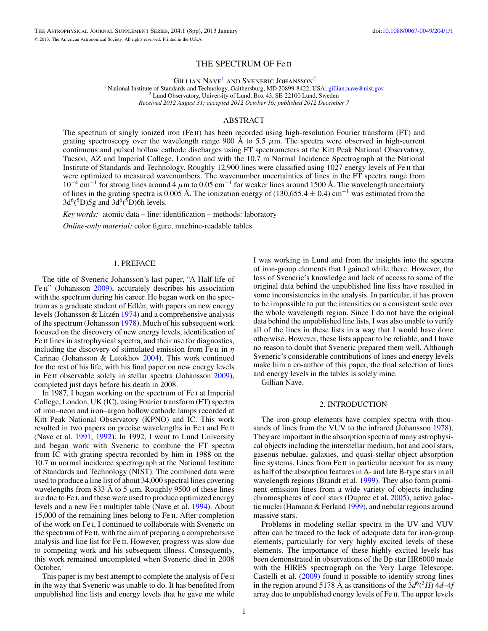# THE SPECTRUM OF Fe ii

GILLIAN NAVE<sup>1</sup> AND SVENERIC JOHANSSON<sup>2</sup>

<sup>1</sup> National Institute of Standards and Technology, Gaithersburg, MD 20899-8422, USA; [gillian.nave@nist.gov](mailto:gillian.nave@nist.gov) <sup>2</sup> Lund Observatory, University of Lund, Box 43, SE-22100 Lund, Sweden *Received 2012 August 31; accepted 2012 October 16; published 2012 December 7*

## ABSTRACT

The spectrum of singly ionized iron (Fe  $\pi$ ) has been recorded using high-resolution Fourier transform (FT) and grating spectroscopy over the wavelength range 900 Å to 5.5  $\mu$ m. The spectra were observed in high-current continuous and pulsed hollow cathode discharges using FT spectrometers at the Kitt Peak National Observatory, Tucson, AZ and Imperial College, London and with the 10.7 m Normal Incidence Spectrograph at the National Institute of Standards and Technology. Roughly 12,900 lines were classified using 1027 energy levels of Fe ii that were optimized to measured wavenumbers. The wavenumber uncertainties of lines in the FT spectra range from 10−<sup>4</sup> cm−<sup>1</sup> for strong lines around 4 *μ*m to 0.05 cm−<sup>1</sup> for weaker lines around 1500 Å. The wavelength uncertainty of lines in the grating spectra is 0.005 Å. The ionization energy of (130,655.4  $\pm$  0.4) cm<sup>-1</sup> was estimated from the  $3d^6(^5D)5g$  and  $3d^6(^5D)6h$  levels.

*Key words:* atomic data – line: identification – methods: laboratory

*Online-only material:* color figure, machine-readable tables

## 1. PREFACE

The title of Sveneric Johansson's last paper, "A Half-life of Fe II" (Johansson [2009\)](#page-6-0), accurately describes his association with the spectrum during his career. He began work on the spectrum as a graduate student of Edlén, with papers on new energy levels (Johansson & Litzén  $1974$ ) and a comprehensive analysis of the spectrum (Johansson [1978\)](#page-6-0). Much of his subsequent work focused on the discovery of new energy levels, identification of Fe II lines in astrophysical spectra, and their use for diagnostics, including the discovery of stimulated emission from Fe ii in *η* Carinae (Johansson & Letokhov [2004\)](#page-7-0). This work continued for the rest of his life, with his final paper on new energy levels in Fe ii observable solely in stellar spectra (Johansson [2009\)](#page-6-0), completed just days before his death in 2008.

In 1987, I began working on the spectrum of Fe i at Imperial College, London, UK (IC), using Fourier transform (FT) spectra of iron–neon and iron–argon hollow cathode lamps recorded at Kitt Peak National Observatory (KPNO) and IC. This work resulted in two papers on precise wavelengths in Fe I and Fe II (Nave et al. [1991,](#page-7-0) [1992\)](#page-7-0). In 1992, I went to Lund University and began work with Sveneric to combine the FT spectra from IC with grating spectra recorded by him in 1988 on the 10.7 m normal incidence spectrograph at the National Institute of Standards and Technology (NIST). The combined data were used to produce a line list of about 34,000 spectral lines covering wavelengths from 833 Å to 5  $\mu$ m. Roughly 9500 of these lines are due to Fe i, and these were used to produce optimized energy levels and a new Fe i multiplet table (Nave et al. [1994\)](#page-7-0). About 15,000 of the remaining lines belong to Fe ii. After completion of the work on Fe i, I continued to collaborate with Sveneric on the spectrum of Fe ii, with the aim of preparing a comprehensive analysis and line list for Fe ii. However, progress was slow due to competing work and his subsequent illness. Consequently, this work remained uncompleted when Sveneric died in 2008 October.

This paper is my best attempt to complete the analysis of Fe ii in the way that Sveneric was unable to do. It has benefited from unpublished line lists and energy levels that he gave me while I was working in Lund and from the insights into the spectra of iron-group elements that I gained while there. However, the loss of Sveneric's knowledge and lack of access to some of the original data behind the unpublished line lists have resulted in some inconsistencies in the analysis. In particular, it has proven to be impossible to put the intensities on a consistent scale over the whole wavelength region. Since I do not have the original data behind the unpublished line lists, I was also unable to verify all of the lines in these lists in a way that I would have done otherwise. However, these lists appear to be reliable, and I have no reason to doubt that Sveneric prepared them well. Although Sveneric's considerable contributions of lines and energy levels make him a co-author of this paper, the final selection of lines and energy levels in the tables is solely mine.

Gillian Nave.

### 2. INTRODUCTION

The iron-group elements have complex spectra with thousands of lines from the VUV to the infrared (Johansson [1978\)](#page-6-0). They are important in the absorption spectra of many astrophysical objects including the interstellar medium, hot and cool stars, gaseous nebulae, galaxies, and quasi-stellar object absorption line systems. Lines from Fe II in particular account for as many as half of the absorption features in A- and late B-type stars in all wavelength regions (Brandt et al. [1999\)](#page-6-0). They also form prominent emission lines from a wide variety of objects including chromospheres of cool stars (Dupree et al. [2005\)](#page-6-0), active galactic nuclei (Hamann & Ferland [1999\)](#page-6-0), and nebular regions around massive stars.

Problems in modeling stellar spectra in the UV and VUV often can be traced to the lack of adequate data for iron-group elements, particularly for very highly excited levels of these elements. The importance of these highly excited levels has been demonstrated in observations of the Bp star HR6000 made with the HIRES spectrograph on the Very Large Telescope. Castelli et al. [\(2009\)](#page-6-0) found it possible to identify strong lines in the region around 5178 Å as transitions of the  $3d^6(^3H)$  4*d*–4*f* array due to unpublished energy levels of Fe ii. The upper levels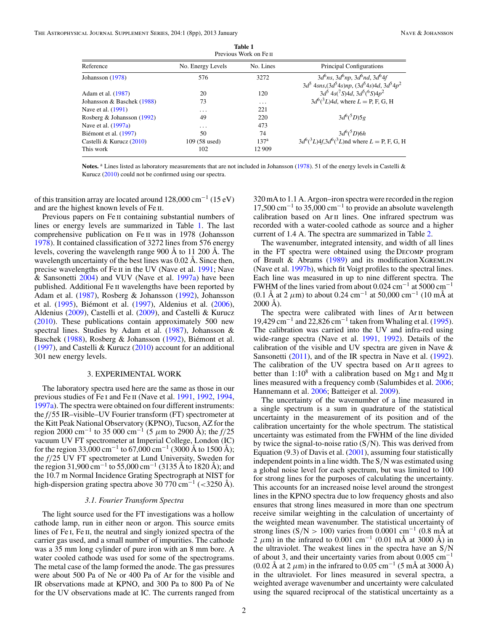<span id="page-1-0"></span>

|                            |                   | Previous Work on Fe II |                                                                                                             |
|----------------------------|-------------------|------------------------|-------------------------------------------------------------------------------------------------------------|
| Reference                  | No. Energy Levels | No. Lines              | Principal Configurations                                                                                    |
| Johansson (1978)           | 576               | 3272                   | $3d^{6}$ ns, $3d^{6}$ np, $3d^{6}$ nd, $3d^{6}$ 4f<br>$3d^5$ 4sns, $(3d^54s)np$ , $(3d^54s)4d$ , $3d^54p^2$ |
| Adam et al. (1987)         | 20                | 120                    | $3d^5$ 4s( <sup>7</sup> S)4d, $3d^5$ ( <sup>6</sup> S)4p <sup>2</sup>                                       |
| Johansson & Baschek (1988) | 73                | $\cdots$               | $3d^{6}({}^{3}L)4d$ , where $L = P$ , F, G, H                                                               |
| Nave et al. (1991)         | $\cdots$          | 221                    |                                                                                                             |
| Rosberg & Johansson (1992) | 49                | 220                    | $3d^{6}(5D)5g$                                                                                              |
| Nave et al. (1997a)        | $\cdots$          | 473                    |                                                                                                             |
| Biémont et al. (1997)      | 50                | 74                     | $3d^{6}(5D)6h$                                                                                              |
| Castelli & Kurucz (2010)   | 109 (58 used)     | 137 <sup>a</sup>       | $3d^{6}({}^{3}L)4f,3d^{6}({}^{3}L)$ nd where $L = P$ , F, G, H                                              |
| This work                  | 102               | 12 909                 |                                                                                                             |

**Table 1**

Notes.<sup>a</sup> Lines listed as laboratory measurements that are not included in Johansson [\(1978\)](#page-6-0). 51 of the energy levels in Castelli & Kurucz [\(2010\)](#page-6-0) could not be confirmed using our spectra.

of this transition array are located around  $128,000 \text{ cm}^{-1}$  (15 eV) and are the highest known levels of Fe ii.

Previous papers on Fe ii containing substantial numbers of lines or energy levels are summarized in Table 1. The last comprehensive publication on Fe ii was in 1978 (Johansson [1978\)](#page-6-0). It contained classification of 3272 lines from 576 energy levels, covering the wavelength range 900 Å to 11 200 Å. The wavelength uncertainty of the best lines was 0.02 Å. Since then, precise wavelengths of Fe ii in the UV (Nave et al. [1991;](#page-7-0) Nave & Sansonetti [2004\)](#page-7-0) and VUV (Nave et al. [1997a\)](#page-7-0) have been published. Additional Fe ii wavelengths have been reported by Adam et al. [\(1987\)](#page-6-0), Rosberg & Johansson [\(1992\)](#page-7-0), Johansson et al. [\(1995\)](#page-7-0), Biémont et al. ([1997\)](#page-6-0), Aldenius et al. [\(2006\)](#page-6-0), Aldenius [\(2009\)](#page-6-0), Castelli et al. [\(2009\)](#page-6-0), and Castelli & Kurucz [\(2010\)](#page-6-0). These publications contain approximately 500 new spectral lines. Studies by Adam et al. [\(1987\)](#page-6-0), Johansson & Baschek [\(1988\)](#page-6-0), Rosberg & Johansson [\(1992\)](#page-7-0), Biémont et al. [\(1997\)](#page-6-0), and Castelli & Kurucz  $(2010)$  account for an additional 301 new energy levels.

### 3. EXPERIMENTAL WORK

The laboratory spectra used here are the same as those in our previous studies of Fe i and Fe ii (Nave et al. [1991,](#page-7-0) [1992,](#page-7-0) [1994,](#page-7-0) [1997a\)](#page-7-0). The spectra were obtained on four different instruments: the *f/*55 IR–visible–UV Fourier transform (FT) spectrometer at the Kitt Peak National Observatory (KPNO), Tucson, AZ for the region 2000 cm−<sup>1</sup> to 35 000 cm−<sup>1</sup> (5 *μ*m to 2900 Å); the *f/*25 vacuum UV FT spectrometer at Imperial College, London (IC) for the region 33,000 cm<sup>-1</sup> to 67,000 cm<sup>-1</sup> (3000 Å to 1500 Å); the *f/*25 UV FT spectrometer at Lund University, Sweden for the region 31,900 cm<sup>-1</sup> to 55,000 cm<sup>-1</sup> (3135 Å to 1820 Å); and the 10.7 m Normal Incidence Grating Spectrograph at NIST for high-dispersion grating spectra above 30 770 cm−<sup>1</sup> (*<*3250 Å).

#### *3.1. Fourier Transform Spectra*

The light source used for the FT investigations was a hollow cathode lamp, run in either neon or argon. This source emits lines of Fe I, Fe II, the neutral and singly ionized spectra of the carrier gas used, and a small number of impurities. The cathode was a 35 mm long cylinder of pure iron with an 8 mm bore. A water cooled cathode was used for some of the spectrograms. The metal case of the lamp formed the anode. The gas pressures were about 500 Pa of Ne or 400 Pa of Ar for the visible and IR observations made at KPNO, and 300 Pa to 800 Pa of Ne for the UV observations made at IC. The currents ranged from

320 mA to 1.1 A. Argon–iron spectra were recorded in the region  $17,500 \text{ cm}^{-1}$  to 35,000 cm<sup>-1</sup> to provide an absolute wavelength calibration based on Ar<sub>II</sub> lines. One infrared spectrum was recorded with a water-cooled cathode as source and a higher current of 1.4 A. The spectra are summarized in Table [2.](#page-2-0)

The wavenumber, integrated intensity, and width of all lines in the FT spectra were obtained using the Decomp program of Brault & Abrams  $(1989)$  and its modification XGREMLIN (Nave et al. [1997b\)](#page-7-0), which fit Voigt profiles to the spectral lines. Each line was measured in up to nine different spectra. The FWHM of the lines varied from about 0.024 cm<sup>-1</sup> at 5000 cm<sup>-1</sup> (0.1 Å at 2  $\mu$ m) to about 0.24 cm<sup>-1</sup> at 50,000 cm<sup>-1</sup> (10 mÅ at 2000 Å).

The spectra were calibrated with lines of Ar<sub>II</sub> between 19,429 cm−<sup>1</sup> and 22,826 cm−<sup>1</sup> taken from Whaling et al. [\(1995\)](#page-7-0). The calibration was carried into the UV and infra-red using wide-range spectra (Nave et al. [1991,](#page-7-0) [1992\)](#page-7-0). Details of the calibration of the visible and UV spectra are given in Nave & Sansonetti [\(2011\)](#page-7-0), and of the IR spectra in Nave et al. [\(1992\)](#page-7-0). The calibration of the UV spectra based on Ar ii agrees to better than  $1:10^8$  with a calibration based on Mg I and Mg II lines measured with a frequency comb (Salumbides et al. [2006;](#page-7-0) Hannemann et al. [2006;](#page-6-0) Batteiger et al. [2009\)](#page-6-0).

The uncertainty of the wavenumber of a line measured in a single spectrum is a sum in quadrature of the statistical uncertainty in the measurement of its position and of the calibration uncertainty for the whole spectrum. The statistical uncertainty was estimated from the FWHM of the line divided by twice the signal-to-noise ratio (S*/*N). This was derived from Equation (9.3) of Davis et al. [\(2001\)](#page-6-0), assuming four statistically independent points in a line width. The S*/*N was estimated using a global noise level for each spectrum, but was limited to 100 for strong lines for the purposes of calculating the uncertainty. This accounts for an increased noise level around the strongest lines in the KPNO spectra due to low frequency ghosts and also ensures that strong lines measured in more than one spectrum receive similar weighting in the calculation of uncertainty of the weighted mean wavenumber. The statistical uncertainty of strong lines (S/N > 100) varies from 0.0001 cm<sup>-1</sup> (0.8 mÅ at 2  $\mu$ m) in the infrared to 0.001 cm<sup>-1</sup> (0.01 mÅ at 3000 Å) in the ultraviolet. The weakest lines in the spectra have an S*/*N of about 3, and their uncertainty varies from about  $0.005$  cm<sup>-1</sup> (0.02 Å at 2  $\mu$ m) in the infrared to 0.05 cm<sup>-1</sup> (5 mÅ at 3000 Å) in the ultraviolet. For lines measured in several spectra, a weighted average wavenumber and uncertainty were calculated using the squared reciprocal of the statistical uncertainty as a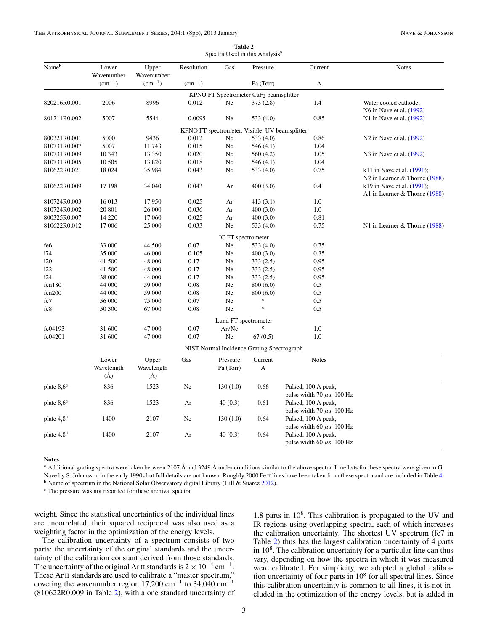<span id="page-2-0"></span>

| Nameb               | Lower<br>Wavenumber | Upper<br>Wavenumber | Resolution      | Gas                  | Pressure                                           | Current                                               | <b>Notes</b>                                                  |
|---------------------|---------------------|---------------------|-----------------|----------------------|----------------------------------------------------|-------------------------------------------------------|---------------------------------------------------------------|
|                     | $(cm^{-1})$         | $(cm^{-1})$         | $\rm (cm^{-1})$ |                      | Pa (Torr)                                          | А                                                     |                                                               |
|                     |                     |                     |                 |                      | KPNO FT Spectrometer CaF <sub>2</sub> beamsplitter |                                                       |                                                               |
| 820216R0.001        | 2006                | 8996                | 0.012           | Ne                   | 373(2.8)                                           | 1.4                                                   | Water cooled cathode;<br>N6 in Nave et al. (1992)             |
| 801211R0.002        | 5007                | 5544                | 0.0095          | Ne                   | 533 $(4.0)$                                        | 0.85                                                  | N1 in Nave et al. (1992)                                      |
|                     |                     |                     |                 |                      | KPNO FT spectrometer. Visible–UV beamsplitter      |                                                       |                                                               |
| 800321R0.001        | 5000                | 9436                | 0.012           | Ne                   | 533 (4.0)                                          | 0.86                                                  | N <sub>2</sub> in Nave et al. (1992)                          |
| 810731R0.007        | 5007                | 11743               | 0.015           | Ne                   | 546(4.1)                                           | 1.04                                                  |                                                               |
| 810731R0.009        | 10 343              | 13 350              | 0.020           | Ne                   | 560 (4.2)                                          | 1.05                                                  | N3 in Nave et al. (1992)                                      |
| 810731R0.005        | 10 505              | 13 8 20             | 0.018           | Ne                   | 546(4.1)                                           | 1.04                                                  |                                                               |
| 810622R0.021        | 18 024              | 35 984              | 0.043           | Ne                   | 533 (4.0)                                          | 0.75                                                  | k11 in Nave et al. (1991);<br>N2 in Learner & Thorne $(1988)$ |
| 810622R0.009        | 17 198              | 34 040              | 0.043           | Ar                   | 400(3.0)                                           | 0.4                                                   | k19 in Nave et al. (1991);<br>A1 in Learner & Thorne $(1988)$ |
| 810724R0.003        | 16 013              | 17950               | 0.025           | Ar                   | 413(3.1)                                           | 1.0                                                   |                                                               |
| 810724R0.002        | 20 801              | 26 000              | 0.036           | Ar                   | 400(3.0)                                           | 1.0                                                   |                                                               |
| 800325R0.007        | 14 2 20             | 17 060              | 0.025           | Ar                   | 400(3.0)                                           | 0.81                                                  |                                                               |
| 810622R0.012        | 17 006              | 25 000              | 0.033           | Ne                   | 533 (4.0)                                          | 0.75                                                  | N1 in Learner & Thorne $(1988)$                               |
|                     |                     |                     |                 | IC FT spectrometer   |                                                    |                                                       |                                                               |
| fe <sub>6</sub>     | 33 000              | 44 500              | 0.07            | Ne                   | 533 (4.0)                                          | 0.75                                                  |                                                               |
| i74                 | 35 000              | 46 000              | 0.105           | Ne                   | 400(3.0)                                           | 0.35                                                  |                                                               |
| i20                 | 41 500              | 48 000              | 0.17            | Ne                   | 333(2.5)                                           | 0.95                                                  |                                                               |
| i22                 | 41 500              | 48 000              | 0.17            | Ne                   | 333(2.5)                                           | 0.95                                                  |                                                               |
| i24                 | 38 000              | 44 000              | 0.17            | Ne                   | 333(2.5)                                           | 0.95                                                  |                                                               |
| fen180              | 44 000              | 59 000              | 0.08            | Ne                   | 800(6.0)                                           | 0.5                                                   |                                                               |
| fen200              | 44 000              | 59 000              | 0.08            | Ne                   | 800(6.0)                                           | 0.5                                                   |                                                               |
| fe7                 | 56 000              | 75 000              | 0.07            | Ne                   | $\rm c$                                            | 0.5                                                   |                                                               |
| fe8                 | 50 300              | 67 000              | 0.08            | Ne                   | $\ddot{c}$                                         | 0.5                                                   |                                                               |
|                     |                     |                     |                 | Lund FT spectrometer |                                                    |                                                       |                                                               |
| fe04193             | 31 600              | 47 000              | 0.07            | Ar/Ne                | $\mathbf c$                                        | 1.0                                                   |                                                               |
| fe04201             | 31 600              | 47 000              | 0.07            | Ne.                  | 67(0.5)                                            | 1.0                                                   |                                                               |
|                     |                     |                     |                 |                      | NIST Normal Incidence Grating Spectrograph         |                                                       |                                                               |
|                     | Lower               | Upper               | Gas             | Pressure             | Current                                            | <b>Notes</b>                                          |                                                               |
|                     | Wavelength<br>(A)   | Wavelength<br>(A)   |                 | Pa (Torr)            | A                                                  |                                                       |                                                               |
| plate $8,6^{\circ}$ | 836                 | 1523                | Ne              | 130(1.0)             | 0.66                                               | Pulsed, 100 A peak,<br>pulse width 70 $\mu$ s, 100 Hz |                                                               |
| plate $8,6^{\circ}$ | 836                 | 1523                | Ar              | 40(0.3)              | 0.61                                               | Pulsed, 100 A peak,<br>pulse width 70 $\mu$ s, 100 Hz |                                                               |
| plate $4.8^\circ$   | 1400                | 2107                | Ne              | 130(1.0)             | 0.64                                               | Pulsed, 100 A peak,<br>pulse width 60 $\mu$ s, 100 Hz |                                                               |
| plate $4.8^\circ$   | 1400                | 2107                | Ar              | 40(0.3)              | 0.64                                               | Pulsed, 100 A peak,<br>pulse width 60 $\mu$ s, 100 Hz |                                                               |

| Table 2 |  |  |  |                                            |  |  |  |  |  |
|---------|--|--|--|--------------------------------------------|--|--|--|--|--|
|         |  |  |  | Spectra Used in this Analysis <sup>a</sup> |  |  |  |  |  |

**Notes.**

 $^{\text{a}}$  Additional grating spectra were taken between 2107 Å and 3249 Å under conditions similar to the above spectra. Line lists for these spectra were given to G. Nave by S. Johansson in the early 1990s but full details are not known. Roughly 2000 Fe II lines have been taken from these spectra and are included in Table [4.](#page-5-0) <sup>b</sup> Name of spectrum in the National Solar Observatory digital Library (Hill & Suarez [2012\)](#page-6-0).

<sup>c</sup> The pressure was not recorded for these archival spectra.

weight. Since the statistical uncertainties of the individual lines are uncorrelated, their squared reciprocal was also used as a weighting factor in the optimization of the energy levels.

The calibration uncertainty of a spectrum consists of two parts: the uncertainty of the original standards and the uncertainty of the calibration constant derived from those standards. The uncertainty of the original Ar II standards is  $2 \times 10^{-4}$  cm<sup>-1</sup>. These Ar II standards are used to calibrate a "master spectrum," covering the wavenumber region 17,200 cm<sup>-1</sup> to 34,040 cm<sup>-1</sup> (810622R0.009 in Table 2), with a one standard uncertainty of

1.8 parts in  $10<sup>8</sup>$ . This calibration is propagated to the UV and IR regions using overlapping spectra, each of which increases the calibration uncertainty. The shortest UV spectrum (fe7 in Table 2) thus has the largest calibration uncertainty of 4 parts in  $10<sup>8</sup>$ . The calibration uncertainty for a particular line can thus vary, depending on how the spectra in which it was measured were calibrated. For simplicity, we adopted a global calibration uncertainty of four parts in  $10<sup>8</sup>$  for all spectral lines. Since this calibration uncertainty is common to all lines, it is not included in the optimization of the energy levels, but is added in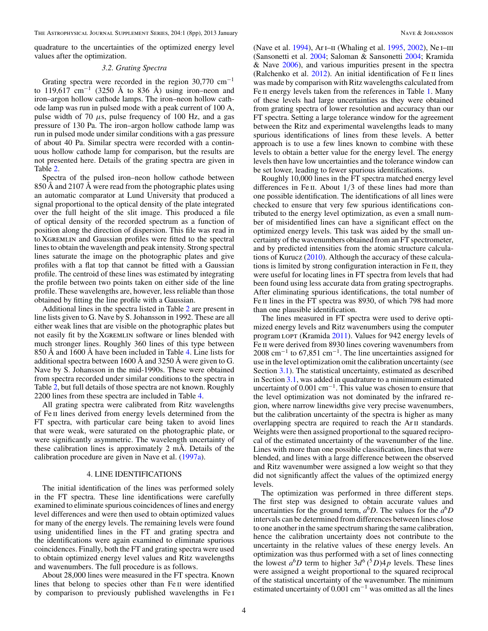<span id="page-3-0"></span>quadrature to the uncertainties of the optimized energy level values after the optimization.

## *3.2. Grating Spectra*

Grating spectra were recorded in the region  $30,770$  cm<sup>-1</sup> to 119,617 cm<sup>-1</sup> (3250 Å to 836 Å) using iron–neon and iron–argon hollow cathode lamps. The iron–neon hollow cathode lamp was run in pulsed mode with a peak current of 100 A, pulse width of 70  $\mu$ s, pulse frequency of 100 Hz, and a gas pressure of 130 Pa. The iron–argon hollow cathode lamp was run in pulsed mode under similar conditions with a gas pressure of about 40 Pa. Similar spectra were recorded with a continuous hollow cathode lamp for comparison, but the results are not presented here. Details of the grating spectra are given in Table [2.](#page-2-0)

Spectra of the pulsed iron–neon hollow cathode between 850 Å and 2107 Å were read from the photographic plates using an automatic comparator at Lund University that produced a signal proportional to the optical density of the plate integrated over the full height of the slit image. This produced a file of optical density of the recorded spectrum as a function of position along the direction of dispersion. This file was read in to Xgremlin and Gaussian profiles were fitted to the spectral lines to obtain the wavelength and peak intensity. Strong spectral lines saturate the image on the photographic plates and give profiles with a flat top that cannot be fitted with a Gaussian profile. The centroid of these lines was estimated by integrating the profile between two points taken on either side of the line profile. These wavelengths are, however, less reliable than those obtained by fitting the line profile with a Gaussian.

Additional lines in the spectra listed in Table [2](#page-2-0) are present in line lists given to G. Nave by S. Johansson in 1992. These are all either weak lines that are visible on the photographic plates but not easily fit by the Xgremlin software or lines blended with much stronger lines. Roughly 360 lines of this type between 850 Å and 1600 Å have been included in Table [4.](#page-5-0) Line lists for additional spectra between 1600 Å and 3250 Å were given to G. Nave by S. Johansson in the mid-1990s. These were obtained from spectra recorded under similar conditions to the spectra in Table [2,](#page-2-0) but full details of those spectra are not known. Roughly 2200 lines from these spectra are included in Table [4.](#page-5-0)

All grating spectra were calibrated from Ritz wavelengths of Fe ii lines derived from energy levels determined from the FT spectra, with particular care being taken to avoid lines that were weak, were saturated on the photographic plate, or were significantly asymmetric. The wavelength uncertainty of these calibration lines is approximately 2 mÅ. Details of the calibration procedure are given in Nave et al. [\(1997a\)](#page-7-0).

# 4. LINE IDENTIFICATIONS

The initial identification of the lines was performed solely in the FT spectra. These line identifications were carefully examined to eliminate spurious coincidences of lines and energy level differences and were then used to obtain optimized values for many of the energy levels. The remaining levels were found using unidentified lines in the FT and grating spectra and the identifications were again examined to eliminate spurious coincidences. Finally, both the FT and grating spectra were used to obtain optimized energy level values and Ritz wavelengths and wavenumbers. The full procedure is as follows.

About 28,000 lines were measured in the FT spectra. Known lines that belong to species other than Fe II were identified by comparison to previously published wavelengths in Fe i (Nave et al. [1994\)](#page-7-0), Ar I-II (Whaling et al. [1995,](#page-7-0) [2002\)](#page-7-0), Ne I-III (Sansonetti et al. [2004;](#page-7-0) Saloman & Sansonetti [2004;](#page-7-0) Kramida & Nave [2006\)](#page-7-0), and various impurities present in the spectra (Ralchenko et al. [2012\)](#page-7-0). An initial identification of Fe ii lines was made by comparison with Ritz wavelengths calculated from Fe II energy levels taken from the references in Table [1.](#page-1-0) Many of these levels had large uncertainties as they were obtained from grating spectra of lower resolution and accuracy than our FT spectra. Setting a large tolerance window for the agreement between the Ritz and experimental wavelengths leads to many spurious identifications of lines from these levels. A better approach is to use a few lines known to combine with these levels to obtain a better value for the energy level. The energy levels then have low uncertainties and the tolerance window can be set lower, leading to fewer spurious identifications.

Roughly 10,000 lines in the FT spectra matched energy level differences in Fe II. About  $1/3$  of these lines had more than one possible identification. The identifications of all lines were checked to ensure that very few spurious identifications contributed to the energy level optimization, as even a small number of misidentified lines can have a significant effect on the optimized energy levels. This task was aided by the small uncertainty of the wavenumbers obtained from an FT spectrometer, and by predicted intensities from the atomic structure calculations of Kurucz [\(2010\)](#page-7-0). Although the accuracy of these calculations is limited by strong configuration interaction in Fe ii, they were useful for locating lines in FT spectra from levels that had been found using less accurate data from grating spectrographs. After eliminating spurious identifications, the total number of Fe II lines in the FT spectra was 8930, of which 798 had more than one plausible identification.

The lines measured in FT spectra were used to derive optimized energy levels and Ritz wavenumbers using the computer program LOPT (Kramida [2011\)](#page-7-0). Values for 942 energy levels of Fe II were derived from 8930 lines covering wavenumbers from  $2008 \text{ cm}^{-1}$  to 67,851 cm<sup>-1</sup>. The line uncertainties assigned for use in the level optimization omit the calibration uncertainty (see Section [3.1\)](#page-1-0). The statistical uncertainty, estimated as described in Section [3.1,](#page-1-0) was added in quadrature to a minimum estimated uncertainty of  $0.001 \text{ cm}^{-1}$ . This value was chosen to ensure that the level optimization was not dominated by the infrared region, where narrow linewidths give very precise wavenumbers, but the calibration uncertainty of the spectra is higher as many overlapping spectra are required to reach the Arii standards. Weights were then assigned proportional to the squared reciprocal of the estimated uncertainty of the wavenumber of the line. Lines with more than one possible classification, lines that were blended, and lines with a large difference between the observed and Ritz wavenumber were assigned a low weight so that they did not significantly affect the values of the optimized energy levels.

The optimization was performed in three different steps. The first step was designed to obtain accurate values and uncertainties for the ground term,  $a^6D$ . The values for the  $a^6D$ intervals can be determined from differences between lines close to one another in the same spectrum sharing the same calibration, hence the calibration uncertainty does not contribute to the uncertainty in the relative values of these energy levels. An optimization was thus performed with a set of lines connecting the lowest  $a^6D$  term to higher  $3d^6(^5D)4p$  levels. These lines were assigned a weight proportional to the squared reciprocal of the statistical uncertainty of the wavenumber. The minimum estimated uncertainty of  $0.001 \text{ cm}^{-1}$  was omitted as all the lines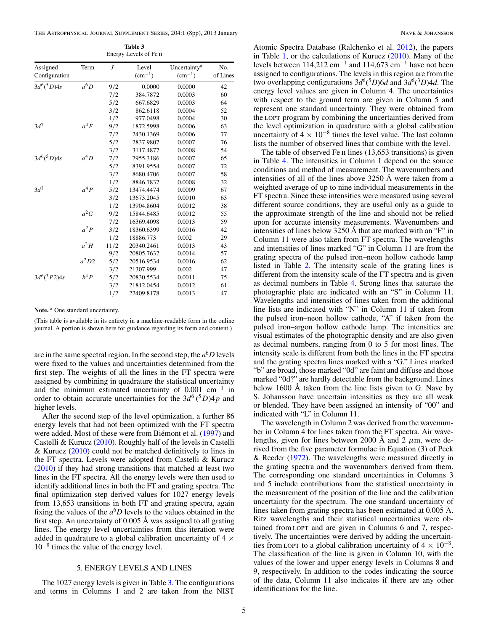The Astrophysical Journal Supplement Series, 204:1 (8pp), 2013 January Nave & Johansson Nave & Johansson

| Assigned       | Term    | $\overline{J}$ | Level       | Uncertainty <sup>a</sup> | No.      |
|----------------|---------|----------------|-------------|--------------------------|----------|
| Configuration  |         |                | $(cm^{-1})$ | $(cm^{-1})$              | of Lines |
| $3d^{6}(5D)4s$ | $a^6D$  | 9/2            | 0.0000      | 0.0000                   | 42       |
|                |         | 7/2            | 384.7872    | 0.0003                   | 60       |
|                |         | 5/2            | 667.6829    | 0.0003                   | 64       |
|                |         | 3/2            | 862.6118    | 0.0004                   | 52       |
|                |         | 1/2            | 977.0498    | 0.0004                   | 30       |
| $3d^7$         | $a^4F$  | 9/2            | 1872.5998   | 0.0006                   | 63       |
|                |         | 7/2            | 2430.1369   | 0.0006                   | 77       |
|                |         | 5/2            | 2837.9807   | 0.0007                   | 76       |
|                |         | 3/2            | 3117.4877   | 0.0008                   | 54       |
| $3d^6(^5D)4s$  | $a^4D$  | 7/2            | 7955.3186   | 0.0007                   | 65       |
|                |         | 5/2            | 8391.9554   | 0.0007                   | 72       |
|                |         | 3/2            | 8680.4706   | 0.0007                   | 58       |
|                |         | 1/2            | 8846.7837   | 0.0008                   | 32       |
| $3d^7$         | $a^4P$  | 5/2            | 13474.4474  | 0.0009                   | 67       |
|                |         | 3/2            | 13673.2045  | 0.0010                   | 63       |
|                |         | 1/2            | 13904.8604  | 0.0012                   | 38       |
|                | $a^2G$  | 9/2            | 15844.6485  | 0.0012                   | 55       |
|                |         | 7/2            | 16369.4098  | 0.0013                   | 59       |
|                | $a^2 P$ | 3/2            | 18360.6399  | 0.0016                   | 42       |
|                |         | 1/2            | 18886.773   | 0.002                    | 29       |
|                | $a^2H$  | 11/2           | 20340.2461  | 0.0013                   | 43       |
|                |         | 9/2            | 20805.7632  | 0.0014                   | 57       |
|                | $a^2D2$ | 5/2            | 20516.9534  | 0.0016                   | 62       |
|                |         | 3/2            | 21307.999   | 0.002                    | 47       |
| $3d^6(^3P2)4s$ | $h^4 P$ | 5/2            | 20830.5534  | 0.0011                   | 75       |
|                |         | 3/2            | 21812.0454  | 0.0012                   | 61       |
|                |         | 1/2            | 22409.8178  | 0.0013                   | 47       |
|                |         |                |             |                          |          |

**Table 3** Energy Levels of Fe II

Note.<sup>a</sup> One standard uncertainty.

(This table is available in its entirety in a machine-readable form in the online journal. A portion is shown here for guidance regarding its form and content.)

are in the same spectral region. In the second step, the  $a<sup>6</sup>D$  levels were fixed to the values and uncertainties determined from the first step. The weights of all the lines in the FT spectra were assigned by combining in quadrature the statistical uncertainty and the minimum estimated uncertainty of  $0.001 \text{ cm}^{-1}$  in order to obtain accurate uncertainties for the  $3d^6(^5D)4p$  and higher levels.

After the second step of the level optimization, a further 86 energy levels that had not been optimized with the FT spectra were added. Most of these were from Biémont et al. ([1997\)](#page-6-0) and Castelli & Kurucz [\(2010\)](#page-6-0). Roughly half of the levels in Castelli & Kurucz  $(2010)$  could not be matched definitively to lines in the FT spectra. Levels were adopted from Castelli & Kurucz [\(2010\)](#page-6-0) if they had strong transitions that matched at least two lines in the FT spectra. All the energy levels were then used to identify additional lines in both the FT and grating spectra. The final optimization step derived values for 1027 energy levels from 13,653 transitions in both FT and grating spectra, again fixing the values of the  $a^6D$  levels to the values obtained in the first step. An uncertainty of 0.005 Å was assigned to all grating lines. The energy level uncertainties from this iteration were added in quadrature to a global calibration uncertainty of  $4 \times$ 10−<sup>8</sup> times the value of the energy level.

# 5. ENERGY LEVELS AND LINES

The 1027 energy levels is given in Table 3. The configurations and terms in Columns 1 and 2 are taken from the NIST

Atomic Spectra Database (Ralchenko et al. [2012\)](#page-7-0), the papers in Table [1,](#page-1-0) or the calculations of Kurucz [\(2010\)](#page-7-0). Many of the levels between  $114,212$  cm<sup>-1</sup> and  $114,673$  cm<sup>-1</sup> have not been assigned to configurations. The levels in this region are from the two overlapping configurations  $3d^6(^5D)6d$  and  $3d^6(^3D)4d$ . The energy level values are given in Column 4. The uncertainties with respect to the ground term are given in Column 5 and represent one standard uncertainty. They were obtained from the lopt program by combining the uncertainties derived from the level optimization in quadrature with a global calibration uncertainty of  $4 \times 10^{-8}$  times the level value. The last column lists the number of observed lines that combine with the level.

The table of observed Fe II lines (13,653 transitions) is given in Table [4.](#page-5-0) The intensities in Column 1 depend on the source conditions and method of measurement. The wavenumbers and intensities of all of the lines above 3250 Å were taken from a weighted average of up to nine individual measurements in the FT spectra. Since these intensities were measured using several different source conditions, they are useful only as a guide to the approximate strength of the line and should not be relied upon for accurate intensity measurements. Wavenumbers and intensities of lines below 3250 Å that are marked with an "F" in Column 11 were also taken from FT spectra. The wavelengths and intensities of lines marked "G" in Column 11 are from the grating spectra of the pulsed iron–neon hollow cathode lamp listed in Table [2.](#page-2-0) The intensity scale of the grating lines is different from the intensity scale of the FT spectra and is given as decimal numbers in Table [4.](#page-5-0) Strong lines that saturate the photographic plate are indicated with an "S" in Column 11. Wavelengths and intensities of lines taken from the additional line lists are indicated with "N" in Column 11 if taken from the pulsed iron–neon hollow cathode, "A" if taken from the pulsed iron–argon hollow cathode lamp. The intensities are visual estimates of the photographic density and are also given as decimal numbers, ranging from 0 to 5 for most lines. The intensity scale is different from both the lines in the FT spectra and the grating spectra lines marked with a "G." Lines marked "b" are broad, those marked "0d" are faint and diffuse and those marked "0d?" are hardly detectable from the background. Lines below 1600 Å taken from the line lists given to G. Nave by S. Johansson have uncertain intensities as they are all weak or blended. They have been assigned an intensity of "00" and indicated with "L" in Column 11.

The wavelength in Column 2 was derived from the wavenumber in Column 4 for lines taken from the FT spectra. Air wavelengths, given for lines between 2000 Å and 2 *μ*m, were derived from the five parameter formulae in Equation (3) of Peck & Reeder  $(1972)$ . The wavelengths were measured directly in the grating spectra and the wavenumbers derived from them. The corresponding one standard uncertainties in Columns 3 and 5 include contributions from the statistical uncertainty in the measurement of the position of the line and the calibration uncertainty for the spectrum. The one standard uncertainty of lines taken from grating spectra has been estimated at 0.005 Å. Ritz wavelengths and their statistical uncertainties were obtained from LOPT and are given in Columns 6 and 7, respectively. The uncertainties were derived by adding the uncertainties from LOPT to a global calibration uncertainty of  $4 \times 10^{-8}$ . The classification of the line is given in Column 10, with the values of the lower and upper energy levels in Columns 8 and 9, respectively. In addition to the codes indicating the source of the data, Column 11 also indicates if there are any other identifications for the line.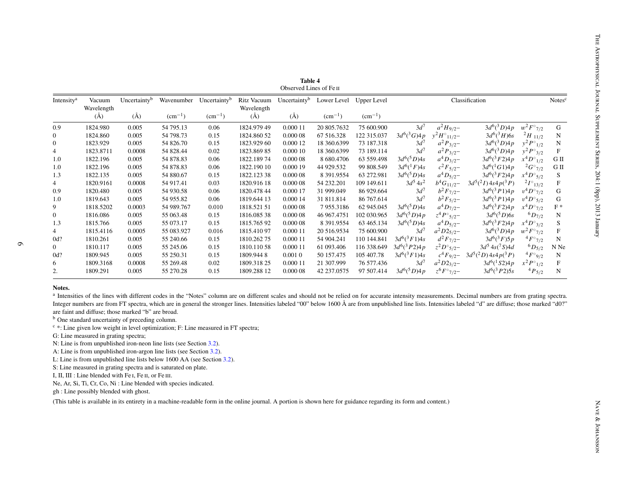<span id="page-5-0"></span>

| Wavelength<br>$(\AA)$<br>1824.980<br>1824.860<br>1823.929<br>1823.8711<br>1822.196<br>1822.196 | $(\AA)$<br>0.005<br>0.005<br>0.005<br>0.0008                                                     | $(cm^{-1})$<br>54 795.13<br>54 798.73<br>54 826.70                                                                                        | $(cm^{-1})$<br>0.06<br>0.15                                                                                                                             | Wavelength<br>$(\AA)$<br>1824.979 49<br>1824.860 52                                                                                                                              | $(\AA)$<br>0.000 11                                                                                                        | $(cm^{-1})$<br>20 805.7632 | $(cm^{-1})$              |                                                                      |                                                                                                                                                            |                                                                                                                                                                                                                    |                                                                                                                                                                                                 |                                                                                                                                                                                                                                                                                                                                                                                                                                                                                                                                                                                                                                                     |
|------------------------------------------------------------------------------------------------|--------------------------------------------------------------------------------------------------|-------------------------------------------------------------------------------------------------------------------------------------------|---------------------------------------------------------------------------------------------------------------------------------------------------------|----------------------------------------------------------------------------------------------------------------------------------------------------------------------------------|----------------------------------------------------------------------------------------------------------------------------|----------------------------|--------------------------|----------------------------------------------------------------------|------------------------------------------------------------------------------------------------------------------------------------------------------------|--------------------------------------------------------------------------------------------------------------------------------------------------------------------------------------------------------------------|-------------------------------------------------------------------------------------------------------------------------------------------------------------------------------------------------|-----------------------------------------------------------------------------------------------------------------------------------------------------------------------------------------------------------------------------------------------------------------------------------------------------------------------------------------------------------------------------------------------------------------------------------------------------------------------------------------------------------------------------------------------------------------------------------------------------------------------------------------------------|
|                                                                                                |                                                                                                  |                                                                                                                                           |                                                                                                                                                         |                                                                                                                                                                                  |                                                                                                                            |                            |                          |                                                                      |                                                                                                                                                            |                                                                                                                                                                                                                    |                                                                                                                                                                                                 |                                                                                                                                                                                                                                                                                                                                                                                                                                                                                                                                                                                                                                                     |
|                                                                                                |                                                                                                  |                                                                                                                                           |                                                                                                                                                         |                                                                                                                                                                                  |                                                                                                                            |                            | 75 600.900               | $3d^7$                                                               | $a^2H_{9/2}$ -                                                                                                                                             | $3d^6(^3D)4p$                                                                                                                                                                                                      | $w^2 F^{\circ}{}_{7/2}$                                                                                                                                                                         | ${\bf G}$                                                                                                                                                                                                                                                                                                                                                                                                                                                                                                                                                                                                                                           |
|                                                                                                |                                                                                                  |                                                                                                                                           |                                                                                                                                                         |                                                                                                                                                                                  | 0.00008                                                                                                                    | 67 516.328                 | 122 315.037              | $3d^{6}({}^3G)4p$                                                    | $y^2 H^{\circ} 11/2^-$                                                                                                                                     | $3d^{6}({}^3H)6s$                                                                                                                                                                                                  | $^{2}H_{11/2}$                                                                                                                                                                                  | N                                                                                                                                                                                                                                                                                                                                                                                                                                                                                                                                                                                                                                                   |
|                                                                                                |                                                                                                  |                                                                                                                                           | 0.15                                                                                                                                                    | 1823.929 60                                                                                                                                                                      | 0.000 12                                                                                                                   | 18 360.6399                | 73 187.318               | $3d^7$                                                               | $a^2 P_{3/2}$ -                                                                                                                                            | $3d^6(^3D)4p$                                                                                                                                                                                                      | $y^2 P^{\circ}1/2$                                                                                                                                                                              | $\mathbf N$                                                                                                                                                                                                                                                                                                                                                                                                                                                                                                                                                                                                                                         |
|                                                                                                |                                                                                                  | 54 828.44                                                                                                                                 | 0.02                                                                                                                                                    | 1823.869 85                                                                                                                                                                      | 0.000 10                                                                                                                   | 18 360.6399                | 73 189.114               | $3d^7$                                                               | $a^2 P_{3/2}$ -                                                                                                                                            | $3d^6(^3D)4p$                                                                                                                                                                                                      | $y^2 P^{\circ}{}_{3/2}$                                                                                                                                                                         | $\mathbf{F}$                                                                                                                                                                                                                                                                                                                                                                                                                                                                                                                                                                                                                                        |
|                                                                                                | 0.005                                                                                            | 54 878.83                                                                                                                                 | 0.06                                                                                                                                                    | 1822.18974                                                                                                                                                                       | 0.000 08                                                                                                                   | 8 680.4706                 | 63 559.498               | $3d^{6}(5D)4s$                                                       | $a^4D_{3/2}$ -                                                                                                                                             | $3d^6(^3F2)4p$                                                                                                                                                                                                     | $x^4 D^{\circ}$ <sub>1/2</sub>                                                                                                                                                                  | ${\rm G\ II}$                                                                                                                                                                                                                                                                                                                                                                                                                                                                                                                                                                                                                                       |
|                                                                                                | 0.005                                                                                            | 54 878.83                                                                                                                                 | 0.06                                                                                                                                                    | 1822.190 10                                                                                                                                                                      | 0.000 19                                                                                                                   | 44 929.532                 | 99 808.549               | $3d^6(^1F)4s$                                                        | $c^2F_{5/2}$ -                                                                                                                                             | $3d^{6}({}^{1}G1)4p$                                                                                                                                                                                               | $^{2}G^{\circ}{}_{7/2}$                                                                                                                                                                         | ${\rm G\ II}$                                                                                                                                                                                                                                                                                                                                                                                                                                                                                                                                                                                                                                       |
| 1822.135                                                                                       | 0.005                                                                                            | 54 880.67                                                                                                                                 | 0.15                                                                                                                                                    | 1822.123 38                                                                                                                                                                      | 0.000 08                                                                                                                   | 8 391.9554                 | 63 272.981               | $3d^{6}(5D)4s$                                                       | $a^4D_{5/2} -$                                                                                                                                             | $3d^6(^3F2)4p$                                                                                                                                                                                                     | $x^4D^{\circ}5/2$                                                                                                                                                                               | S                                                                                                                                                                                                                                                                                                                                                                                                                                                                                                                                                                                                                                                   |
| 1820.9161                                                                                      | 0.0008                                                                                           | 54 917.41                                                                                                                                 | 0.03                                                                                                                                                    | 1820.916 18                                                                                                                                                                      | 0.00008                                                                                                                    | 54 232.201                 | 109 149.611              | $3d^5 4s^2$                                                          | $b^4G_{11/2}$ -                                                                                                                                            | $3d^5(^2I)4s^4p(^3P)$                                                                                                                                                                                              | $^{2}I^{\circ}$ 13/2                                                                                                                                                                            | ${\bf F}$                                                                                                                                                                                                                                                                                                                                                                                                                                                                                                                                                                                                                                           |
| 1820.480                                                                                       | 0.005                                                                                            | 54 930.58                                                                                                                                 | 0.06                                                                                                                                                    | 1820.478 44                                                                                                                                                                      | 0.000 17                                                                                                                   | 31 999.049                 | 86 929.664               | $3d^7$                                                               |                                                                                                                                                            | $3d^6(^3P1)4p$                                                                                                                                                                                                     | $v^4 D^{\circ}$ 7/2                                                                                                                                                                             | ${\bf G}$                                                                                                                                                                                                                                                                                                                                                                                                                                                                                                                                                                                                                                           |
| 1819.643                                                                                       | 0.005                                                                                            | 54 955.82                                                                                                                                 | 0.06                                                                                                                                                    | 1819.644 13                                                                                                                                                                      | 0.000 14                                                                                                                   | 31 811.814                 | 86 767.614               |                                                                      |                                                                                                                                                            |                                                                                                                                                                                                                    |                                                                                                                                                                                                 | ${\bf G}$                                                                                                                                                                                                                                                                                                                                                                                                                                                                                                                                                                                                                                           |
| 1818.5202                                                                                      | 0.0003                                                                                           | 54 989.767                                                                                                                                | 0.010                                                                                                                                                   | 1818.521 51                                                                                                                                                                      | 0.000 08                                                                                                                   | 7955.3186                  | 62 945.045               |                                                                      |                                                                                                                                                            |                                                                                                                                                                                                                    |                                                                                                                                                                                                 | $\mathcal{F}$ *                                                                                                                                                                                                                                                                                                                                                                                                                                                                                                                                                                                                                                     |
| 1816.086                                                                                       | 0.005                                                                                            | 55 063.48                                                                                                                                 | 0.15                                                                                                                                                    | 1816.085 38                                                                                                                                                                      | 0.000 08                                                                                                                   | 46 967.4751                | 102 030.965              |                                                                      |                                                                                                                                                            |                                                                                                                                                                                                                    |                                                                                                                                                                                                 | $_{\rm N}$                                                                                                                                                                                                                                                                                                                                                                                                                                                                                                                                                                                                                                          |
| 1815.766                                                                                       | 0.005                                                                                            |                                                                                                                                           | 0.15                                                                                                                                                    | 1815.76592                                                                                                                                                                       | 0.000 08                                                                                                                   |                            |                          |                                                                      |                                                                                                                                                            |                                                                                                                                                                                                                    |                                                                                                                                                                                                 | ${\bf S}$                                                                                                                                                                                                                                                                                                                                                                                                                                                                                                                                                                                                                                           |
| 1815.4116                                                                                      | 0.0005                                                                                           | 55 083.927                                                                                                                                |                                                                                                                                                         | 1815.41097                                                                                                                                                                       | 0.000 11                                                                                                                   | 20 516.9534                | 75 600.900               |                                                                      |                                                                                                                                                            |                                                                                                                                                                                                                    |                                                                                                                                                                                                 | $\boldsymbol{\mathrm{F}}$                                                                                                                                                                                                                                                                                                                                                                                                                                                                                                                                                                                                                           |
| 1810.261                                                                                       | 0.005                                                                                            | 55 240.66                                                                                                                                 | 0.15                                                                                                                                                    |                                                                                                                                                                                  | 0.000 11                                                                                                                   | 54 904.241                 |                          |                                                                      |                                                                                                                                                            |                                                                                                                                                                                                                    |                                                                                                                                                                                                 | ${\bf N}$                                                                                                                                                                                                                                                                                                                                                                                                                                                                                                                                                                                                                                           |
| 1810.117                                                                                       | 0.005                                                                                            | 55 245.06                                                                                                                                 |                                                                                                                                                         | 1810.11058                                                                                                                                                                       | 0.000 11                                                                                                                   | 61 093.406                 |                          |                                                                      |                                                                                                                                                            |                                                                                                                                                                                                                    |                                                                                                                                                                                                 | N Ne                                                                                                                                                                                                                                                                                                                                                                                                                                                                                                                                                                                                                                                |
| 1809.945                                                                                       | 0.005                                                                                            | 55 250.31                                                                                                                                 | 0.15                                                                                                                                                    | 1809.9448                                                                                                                                                                        | 0.0010                                                                                                                     | 50 157.475                 | 105 407.78               |                                                                      |                                                                                                                                                            |                                                                                                                                                                                                                    |                                                                                                                                                                                                 | ${\bf N}$                                                                                                                                                                                                                                                                                                                                                                                                                                                                                                                                                                                                                                           |
| 1809.3168                                                                                      | 0.0008                                                                                           |                                                                                                                                           |                                                                                                                                                         |                                                                                                                                                                                  | 0.000 11                                                                                                                   |                            |                          |                                                                      |                                                                                                                                                            |                                                                                                                                                                                                                    |                                                                                                                                                                                                 | $\mathbf F$                                                                                                                                                                                                                                                                                                                                                                                                                                                                                                                                                                                                                                         |
| 1809.291                                                                                       | 0.005                                                                                            |                                                                                                                                           |                                                                                                                                                         | 1809.288 12                                                                                                                                                                      | 0.00008                                                                                                                    | 42 237.0575                |                          |                                                                      |                                                                                                                                                            |                                                                                                                                                                                                                    |                                                                                                                                                                                                 | ${\bf N}$                                                                                                                                                                                                                                                                                                                                                                                                                                                                                                                                                                                                                                           |
|                                                                                                |                                                                                                  | L: Line is from unpublished line lists below 1600 AA (see Section 3.2).<br>S: Line measured in grating spectra and is saturated on plate. |                                                                                                                                                         |                                                                                                                                                                                  |                                                                                                                            |                            |                          |                                                                      |                                                                                                                                                            |                                                                                                                                                                                                                    |                                                                                                                                                                                                 |                                                                                                                                                                                                                                                                                                                                                                                                                                                                                                                                                                                                                                                     |
|                                                                                                | I, II, III : Line blended with Fe I, Fe II, or Fe III.<br>gh : Line possibly blended with ghost. | Ne, Ar, Si, Ti, Cr, Co, Ni : Line blended with species indicated.                                                                         |                                                                                                                                                         |                                                                                                                                                                                  |                                                                                                                            |                            |                          |                                                                      |                                                                                                                                                            |                                                                                                                                                                                                                    |                                                                                                                                                                                                 |                                                                                                                                                                                                                                                                                                                                                                                                                                                                                                                                                                                                                                                     |
|                                                                                                |                                                                                                  | G: Line measured in grating spectra;                                                                                                      | 55 073.17<br>55 269.48<br>55 270.28<br>are faint and diffuse; those marked "b" are broad.<br><sup>b</sup> One standard uncertainty of preceding column. | 0.016<br>0.15<br>$0.02\,$<br>0.15<br>N: Line is from unpublished iron-neon line lists (see Section 3.2).<br>A: Line is from unpublished iron-argon line lists (see Section 3.2). | 1810.262 75<br>1809.318 25<br><sup>c</sup> *: Line given low weight in level optimization; F: Line measured in FT spectra; |                            | 8 391.9554<br>21 307.999 | 63 465.134<br>110 144.841<br>116 338.649<br>76 577.436<br>97 507.414 | $3d^7$<br>$3d^{6}(5D)4s$<br>$3d^6(^5D)4p$<br>$3d^{6}(5D)4s$<br>$3d^7$<br>$3d^{6}({}^3F1)4s$<br>$3d^6(^3P2)4p$<br>$3d^6(^3F1)4s$<br>$3d^7$<br>$3d^6(^5D)4p$ | $b^2 F_{7/2}$<br>$b^2F_{5/2}$ -<br>$a^4D_{7/2}^-$<br>$z^4 P^{\circ} 5/2^-$<br>$a^4D_{5/2}$ -<br>$a^2D25/2-$<br>$d^2F_{7/2}$ -<br>$z^2D^{\circ}5/2^-$<br>$c^4F_{9/2}$ -<br>$a^2D2_{3/2}$ -<br>$z^{6}F^{\circ}$ 7/2- | $3d^6(^3P1)4p$<br>$3d^6(^3F2)4p$<br>$3d^{6}(5D)$ 6s<br>$3d^6(^3F2)4p$<br>$3d^6(^3D)4p$<br>$3d^{6}({}^3F)5p$<br>$3d^5 4s(^7S)4d$<br>$3d^5(^2D)$ 4s4 $p(^3P)$<br>$3d^6(^1S2)4p$<br>$3d^6(^3P2)5s$ | $v^4D^{\circ}5/2$<br>$x^4D^{\circ}$ 7/2<br>${}^{6}D_{7/2}$<br>$x^4D^{\circ}{}_{3/2}$<br>$w^2 F^{\circ}{}_{7/2}$<br>$^{4}F^{\circ}$ 7/2<br>${}^{6}D_{5/2}$<br>$4F^{\circ}9/2$<br>$x^2 P^{\circ}{}_{1/2}$<br>$^{4}P_{5/2}$<br>a Intensities of the lines with different codes in the "Notes" column are on different scales and should not be relied on for accurate intensity measurements. Decimal numbers are from grating spectra.<br>Integer numbers are from FT spectra, which are in general the stronger lines. Intensities labeled "00" below 1600 Å are from unpublished line lists. Intensities labeled "d" are diffuse; those marked "d0" |

#### **Notes.**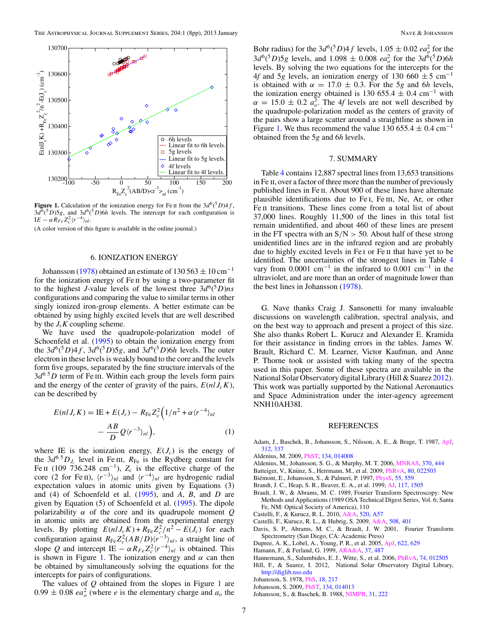<span id="page-6-0"></span>

**Figure 1.** Calculation of the ionization energy for Fe II from the  $3d^6(^5D)4f$ ,  $3d^6(^5D)5g$ , and  $3d^6(^5D)6h$  levels. The intercept for each configuration is  $I E - \alpha R_{Fe} Z_c^2 \langle r^{-4} \rangle_{nl}.$ 

(A color version of this figure is available in the online journal.)

### 6. IONIZATION ENERGY

Johansson (1978) obtained an estimate of 130 563  $\pm$  10 cm<sup>-1</sup> for the ionization energy of Fe ii by using a two-parameter fit to the highest *J*-value levels of the lowest three  $3d^6(^5D)ns$ configurations and comparing the value to similar terms in other singly ionized iron-group elements. A better estimate can be obtained by using highly excited levels that are well described by the  $J_cK$  coupling scheme.

We have used the quadrupole-polarization model of Schoenfeld et al. [\(1995\)](#page-7-0) to obtain the ionization energy from the  $3d^6(^5D)4f$ ,  $3d^6(^5D)5g$ , and  $3d^6(^5D)6h$  levels. The outer electron in these levels is weakly bound to the core and the levels form five groups, separated by the fine structure intervals of the  $3d^{6.5}D$  term of Fe III. Within each group the levels form pairs and the energy of the center of gravity of the pairs,  $E(nI J_c K)$ , can be described by

$$
E(nI J_c K) = \text{IE} + E(J_c) - R_{\text{Fe}} Z_c^2 \left( 1/n^2 + \alpha \langle r^{-4} \rangle_{nl} - \frac{AB}{D} Q \langle r^{-3} \rangle_{nl} \right), \tag{1}
$$

where IE is the ionization energy,  $E(J_c)$  is the energy of the  $3d^{6}D_J$  level in Fe III,  $R_{Fe}$  is the Rydberg constant for Fe II (109 736.248 cm<sup>-1</sup>),  $Z_c$  is the effective charge of the core (2 for Fe II),  $\langle r^{-3} \rangle_{nl}$  and  $\langle r^{-4} \rangle_{nl}$  are hydrogenic radial expectation values in atomic units given by Equations (3) and (4) of Schoenfeld et al. [\(1995\)](#page-7-0), and *A*, *B*, and *D* are given by Equation (5) of Schoenfeld et al. [\(1995\)](#page-7-0). The dipole polarizability *α* of the core and its quadrupole moment *Q* in atomic units are obtained from the experimental energy levels. By plotting  $E(nlJ_c K) + R_{\text{Fe}} Z_c^2/n^2 - E(J_c)$  for each configuration against  $R_{\text{Fe}}Z_c^2(AB/D)(r^{-3})_{nl}$ , a straight line of slope *Q* and intercept IE –  $\alpha R_{Fe} Z_c^2 \langle r^{-4} \rangle_{nl}$  is obtained. This is shown in Figure 1. The ionization energy and  $\alpha$  can then be obtained by simultaneously solving the equations for the intercepts for pairs of configurations.

The values of *Q* obtained from the slopes in Figure 1 are  $0.99 \pm 0.08$  *ea*<sup>2</sup> (where *e* is the elementary charge and *a<sub>o</sub>* the

Bohr radius) for the  $3d^6(^5D)4f$  levels,  $1.05 \pm 0.02$  *ea*<sup>2</sup> for the  $3d^6(^5D)5g$  levels, and  $1.098 \pm 0.008$  *ea*<sup>2</sup> for the  $3d^6(^5D)6h$ levels. By solving the two equations for the intercepts for the 4*f* and 5*g* levels, an ionization energy of 130 660  $\pm$  5 cm<sup>-1</sup> is obtained with  $\alpha = 17.0 \pm 0.3$ . For the 5*g* and 6*h* levels, the ionization energy obtained is 130 655.4  $\pm$  0.4 cm<sup>-1</sup> with  $\alpha = 15.0 \pm 0.2 \ a_o^3$ . The 4*f* levels are not well described by the quadrupole-polarization model as the centers of gravity of the pairs show a large scatter around a straightline as shown in Figure 1. We thus recommend the value 130 655.4  $\pm$  0.4 cm<sup>-1</sup> obtained from the 5*g* and 6*h* levels.

# 7. SUMMARY

Table [4](#page-5-0) contains 12,887 spectral lines from 13,653 transitions in Fe ii, over a factor of three more than the number of previously published lines in Fe ii. About 900 of these lines have alternate plausible identifications due to Fe i, Fe iii, Ne, Ar, or other Fe II transitions. These lines come from a total list of about 37,000 lines. Roughly 11,500 of the lines in this total list remain unidentified, and about 460 of these lines are present in the FT spectra with an S*/*N *>* 50. About half of these strong unidentified lines are in the infrared region and are probably due to highly excited levels in Fe i or Fe ii that have yet to be identified. The uncertainties of the strongest lines in Table [4](#page-5-0) vary from 0.0001 cm<sup>-1</sup> in the infrared to 0.001 cm<sup>-1</sup> in the ultraviolet, and are more than an order of magnitude lower than the best lines in Johansson (1978).

G. Nave thanks Craig J. Sansonetti for many invaluable discussions on wavelength calibration, spectral analysis, and on the best way to approach and present a project of this size. She also thanks Robert L. Kurucz and Alexander E. Kramida for their assistance in finding errors in the tables. James W. Brault, Richard C. M. Learner, Victor Kaufman, and Anne P. Thorne took or assisted with taking many of the spectra used in this paper. Some of these spectra are available in the National Solar Observatory digital Library (Hill & Suarez 2012). This work was partially supported by the National Aeronautics and Space Administration under the inter-agency agreement NNH10AH38I.

### REFERENCES

- Adam, J., Baschek, B., Johansson, S., Nilsson, A. E., & Brage, T. 1987, [ApJ,](http://dx.doi.org/10.1086/164878) [312, 337](http://adsabs.harvard.edu/abs/1987ApJ...312..337A)
- Aldenius, M. 2009, [PhST,](http://dx.doi.org/10.1088/0031-8949/2009/T134/014008) [134, 014008](http://adsabs.harvard.edu/abs/2009PhST..134a4008A)
- Aldenius, M., Johansson, S. G., & Murphy, M. T. 2006, [MNRAS,](http://dx.doi.org/10.1111/j.1365-2966.2006.10491.x) [370, 444](http://adsabs.harvard.edu/abs/2006MNRAS.370..444A)
- Batteiger, V., Knünz, S., Herrmann, M., et al. 2009, [PhRvA,](http://dx.doi.org/10.1103/PhysRevA.80.022503) [80, 022503](http://adsabs.harvard.edu/abs/2009PhRvA..80b2503B)
- Biémont, E., Johansson, S., & Palmeri, P. 1997, *PhysS*, [55, 559](http://adsabs.harvard.edu/abs/1997PhyS...55..559B)
- Brandt, J. C., Heap, S. R., Beaver, E. A., et al. 1999, [AJ,](http://dx.doi.org/10.1086/300753) [117, 1505](http://adsabs.harvard.edu/abs/1999AJ....117.1505B)
- Brault, J. W., & Abrams, M. C. 1989, Fourier Transform Spectroscopy: New Methods and Applications (1989 OSA Technical Digest Series, Vol. 6; Santa Fe, NM: Optical Society of America), 110
- Castelli, F., & Kurucz, R. L. 2010, [A&A,](http://dx.doi.org/10.1051/0004-6361/201015126) [520, A57](http://adsabs.harvard.edu/abs/2010A&A...520A..57C)
- Castelli, F., Kurucz, R. L., & Hubrig, S. 2009, [A&A,](http://dx.doi.org/10.1051/0004-6361/200912518) [508, 401](http://adsabs.harvard.edu/abs/2009A&A...508..401C)
- Davis, S. P., Abrams, M. C., & Brault, J. W. 2001, Fourier Transform Spectrometry (San Diego, CA: Academic Press)
- Dupree, A. K., Lobel, A., Young, P. R., et al. 2005, [ApJ,](http://dx.doi.org/10.1086/428111) [622, 629](http://adsabs.harvard.edu/abs/2005ApJ...622..629D)
- Hamann, F., & Ferland, G. 1999, [ARA&A,](http://dx.doi.org/10.1146/annurev.astro.37.1.487) [37, 487](http://adsabs.harvard.edu/abs/1999ARA&A..37..487H)
- Hannemann, S., Salumbides, E. J., Witte, S., et al. 2006, [PhRvA,](http://dx.doi.org/10.1103/PhysRevA.74.012505) [74, 012505](http://adsabs.harvard.edu/abs/2006PhRvA..74a2505H)
- Hill, F., & Suarez, I. 2012, National Solar Observatory Digital Library, <http://diglib.nso.edu>
- Johansson, S. 1978, [PhS,](http://dx.doi.org/10.1088/0031-8949/18/4/004) [18, 217](http://adsabs.harvard.edu/abs/1978PhyS...18..217J)
- Johansson, S. 2009, [PhST,](http://dx.doi.org/10.1088/0031-8949/2009/T134/014013) [134, 014013](http://adsabs.harvard.edu/abs/2009PhST..134a4013J)
- Johansson, S., & Baschek, B. 1988, [NIMPB,](http://dx.doi.org/10.1016/0168-583X(88)90420-X) [31, 222](http://adsabs.harvard.edu/abs/1988NIMPB..31..222J)